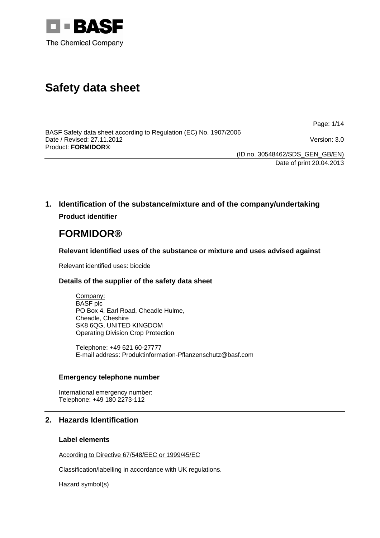

# **Safety data sheet**

Page: 1/14

BASF Safety data sheet according to Regulation (EC) No. 1907/2006 Date / Revised: 27.11.2012 Version: 3.0 Product: **FORMIDOR®** 

(ID no. 30548462/SDS\_GEN\_GB/EN) Date of print 20.04.2013

**1. Identification of the substance/mixture and of the company/undertaking Product identifier**

# **FORMIDOR®**

**Relevant identified uses of the substance or mixture and uses advised against**

Relevant identified uses: biocide

### **Details of the supplier of the safety data sheet**

Company: BASF plc PO Box 4, Earl Road, Cheadle Hulme, Cheadle, Cheshire SK8 6QG, UNITED KINGDOM Operating Division Crop Protection

Telephone: +49 621 60-27777 E-mail address: Produktinformation-Pflanzenschutz@basf.com

### **Emergency telephone number**

International emergency number: Telephone: +49 180 2273-112

### **2. Hazards Identification**

### **Label elements**

According to Directive 67/548/EEC or 1999/45/EC

Classification/labelling in accordance with UK regulations.

Hazard symbol(s)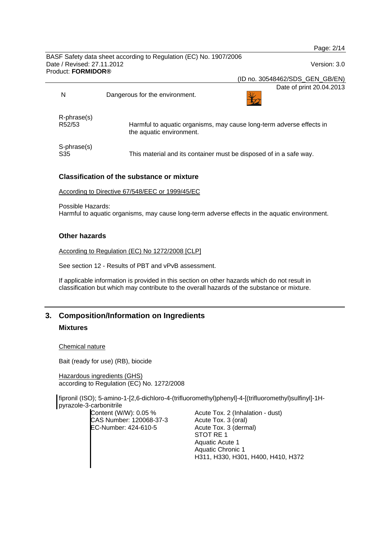|                                                  |                                                                   | Page: 2/14                                                           |
|--------------------------------------------------|-------------------------------------------------------------------|----------------------------------------------------------------------|
|                                                  | BASF Safety data sheet according to Regulation (EC) No. 1907/2006 |                                                                      |
| Date / Revised: 27.11.2012<br>Product: FORMIDOR® |                                                                   | Version: 3.0                                                         |
|                                                  |                                                                   | (ID no. 30548462/SDS_GEN_GB/EN)                                      |
|                                                  |                                                                   | Date of print 20.04.2013                                             |
| N                                                | Dangerous for the environment.                                    |                                                                      |
| $R$ -phrase $(s)$                                |                                                                   |                                                                      |
| R <sub>52</sub> /53                              | the aquatic environment.                                          | Harmful to aquatic organisms, may cause long-term adverse effects in |
| S-phrase(s)<br>S35                               |                                                                   | This material and its container must be disposed of in a safe way.   |

### **Classification of the substance or mixture**

According to Directive 67/548/EEC or 1999/45/EC

Possible Hazards: Harmful to aquatic organisms, may cause long-term adverse effects in the aquatic environment.

### **Other hazards**

According to Regulation (EC) No 1272/2008 [CLP]

See section 12 - Results of PBT and vPvB assessment.

If applicable information is provided in this section on other hazards which do not result in classification but which may contribute to the overall hazards of the substance or mixture.

## **3. Composition/Information on Ingredients Mixtures**

Chemical nature

Bait (ready for use) (RB), biocide

Hazardous ingredients (GHS) according to Regulation (EC) No. 1272/2008

fipronil (ISO); 5-amino-1-[2,6-dichloro-4-(trifluoromethyl)phenyl]-4-[(trifluoromethyl)sulfinyl]-1Hpyrazole-3-carbonitrile

Content (W/W): 0.05 % CAS Number: 120068-37-3 EC-Number: 424-610-5

Acute Tox. 2 (Inhalation - dust) Acute Tox. 3 (oral) Acute Tox. 3 (dermal) STOT RE 1 Aquatic Acute 1 Aquatic Chronic 1 H311, H330, H301, H400, H410, H372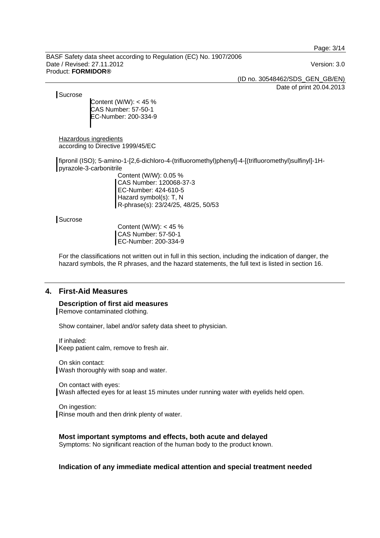Page: 3/14

BASF Safety data sheet according to Regulation (EC) No. 1907/2006 Date / Revised: 27.11.2012 Version: 3.0 Product: **FORMIDOR®** 

(ID no. 30548462/SDS\_GEN\_GB/EN)

Date of print 20.04.2013

**Sucrose** 

Content (W/W): < 45 % CAS Number: 57-50-1 EC-Number: 200-334-9

Hazardous ingredients according to Directive 1999/45/EC

fipronil (ISO); 5-amino-1-[2,6-dichloro-4-(trifluoromethyl)phenyl]-4-[(trifluoromethyl)sulfinyl]-1Hpyrazole-3-carbonitrile

Content (W/W): 0.05 % CAS Number: 120068-37-3 EC-Number: 424-610-5 Hazard symbol(s): T, N R-phrase(s): 23/24/25, 48/25, 50/53

**Sucrose** 

Content (W/W): < 45 % CAS Number: 57-50-1 EC-Number: 200-334-9

For the classifications not written out in full in this section, including the indication of danger, the hazard symbols, the R phrases, and the hazard statements, the full text is listed in section 16.

### **4. First-Aid Measures**

**Description of first aid measures**  Remove contaminated clothing.

Show container, label and/or safety data sheet to physician.

If inhaled: Keep patient calm, remove to fresh air.

On skin contact: Wash thoroughly with soap and water.

On contact with eyes: Wash affected eyes for at least 15 minutes under running water with eyelids held open.

On ingestion: Rinse mouth and then drink plenty of water.

### **Most important symptoms and effects, both acute and delayed**

Symptoms: No significant reaction of the human body to the product known.

**Indication of any immediate medical attention and special treatment needed**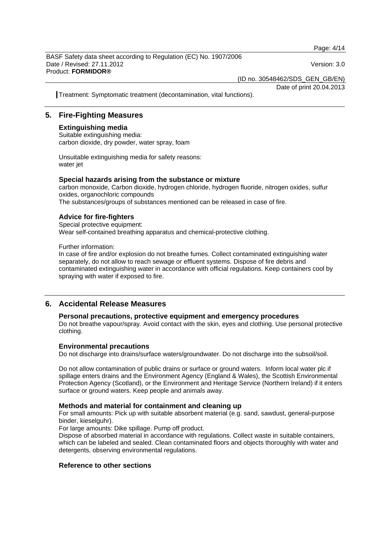Page: 4/14

BASF Safety data sheet according to Regulation (EC) No. 1907/2006 Date / Revised: 27.11.2012 Version: 3.0 Product: **FORMIDOR®** 

(ID no. 30548462/SDS\_GEN\_GB/EN) Date of print 20.04.2013

Treatment: Symptomatic treatment (decontamination, vital functions).

### **5. Fire-Fighting Measures**

### **Extinguishing media**

Suitable extinguishing media: carbon dioxide, dry powder, water spray, foam

Unsuitable extinguishing media for safety reasons: water jet

### **Special hazards arising from the substance or mixture**

carbon monoxide, Carbon dioxide, hydrogen chloride, hydrogen fluoride, nitrogen oxides, sulfur oxides, organochloric compounds The substances/groups of substances mentioned can be released in case of fire.

### **Advice for fire-fighters**

Special protective equipment: Wear self-contained breathing apparatus and chemical-protective clothing.

Further information:

In case of fire and/or explosion do not breathe fumes. Collect contaminated extinguishing water separately, do not allow to reach sewage or effluent systems. Dispose of fire debris and contaminated extinguishing water in accordance with official regulations. Keep containers cool by spraying with water if exposed to fire.

### **6. Accidental Release Measures**

### **Personal precautions, protective equipment and emergency procedures**

Do not breathe vapour/spray. Avoid contact with the skin, eyes and clothing. Use personal protective clothing.

#### **Environmental precautions**

Do not discharge into drains/surface waters/groundwater. Do not discharge into the subsoil/soil.

Do not allow contamination of public drains or surface or ground waters. Inform local water plc if spillage enters drains and the Environment Agency (England & Wales), the Scottish Environmental Protection Agency (Scotland), or the Environment and Heritage Service (Northern Ireland) if it enters surface or ground waters. Keep people and animals away.

### **Methods and material for containment and cleaning up**

For small amounts: Pick up with suitable absorbent material (e.g. sand, sawdust, general-purpose binder, kieselguhr).

For large amounts: Dike spillage. Pump off product.

Dispose of absorbed material in accordance with regulations. Collect waste in suitable containers, which can be labeled and sealed. Clean contaminated floors and objects thoroughly with water and detergents, observing environmental regulations.

### **Reference to other sections**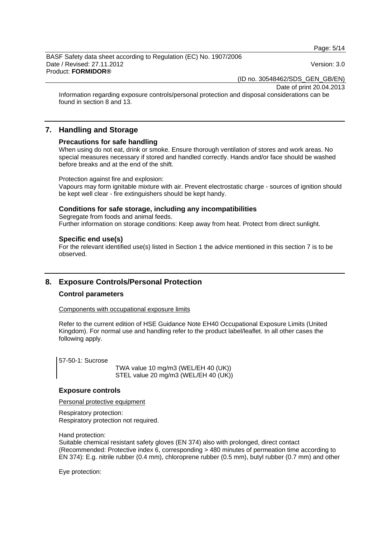Page: 5/14

BASF Safety data sheet according to Regulation (EC) No. 1907/2006 Date / Revised: 27.11.2012 Version: 3.0 Product: **FORMIDOR®** 

(ID no. 30548462/SDS\_GEN\_GB/EN)

Date of print 20.04.2013

Information regarding exposure controls/personal protection and disposal considerations can be found in section 8 and 13.

### **7. Handling and Storage**

#### **Precautions for safe handling**

When using do not eat, drink or smoke. Ensure thorough ventilation of stores and work areas. No special measures necessary if stored and handled correctly. Hands and/or face should be washed before breaks and at the end of the shift.

Protection against fire and explosion:

Vapours may form ignitable mixture with air. Prevent electrostatic charge - sources of ignition should be kept well clear - fire extinguishers should be kept handy.

#### **Conditions for safe storage, including any incompatibilities**

Segregate from foods and animal feeds. Further information on storage conditions: Keep away from heat. Protect from direct sunlight.

#### **Specific end use(s)**

For the relevant identified use(s) listed in Section 1 the advice mentioned in this section 7 is to be observed.

### **8. Exposure Controls/Personal Protection**

### **Control parameters**

Components with occupational exposure limits

Refer to the current edition of HSE Guidance Note EH40 Occupational Exposure Limits (United Kingdom). For normal use and handling refer to the product label/leaflet. In all other cases the following apply.

57-50-1: Sucrose

 TWA value 10 mg/m3 (WEL/EH 40 (UK)) STEL value 20 mg/m3 (WEL/EH 40 (UK))

#### **Exposure controls**

Personal protective equipment

Respiratory protection: Respiratory protection not required.

Hand protection:

Suitable chemical resistant safety gloves (EN 374) also with prolonged, direct contact (Recommended: Protective index 6, corresponding > 480 minutes of permeation time according to EN 374): E.g. nitrile rubber (0.4 mm), chloroprene rubber (0.5 mm), butyl rubber (0.7 mm) and other

Eye protection: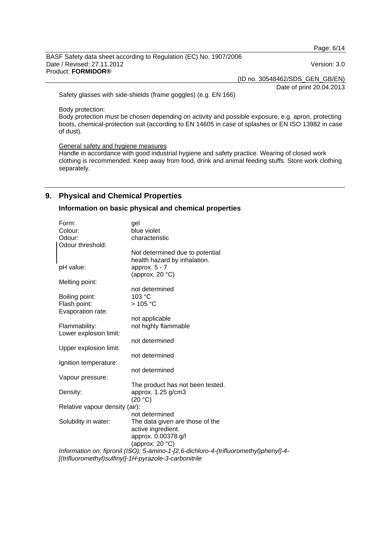Page: 6/14

BASF Safety data sheet according to Regulation (EC) No. 1907/2006 Date / Revised: 27.11.2012 Version: 3.0 Product: **FORMIDOR®** 

(ID no. 30548462/SDS\_GEN\_GB/EN)

Date of print 20.04.2013

Safety glasses with side-shields (frame goggles) (e.g. EN 166)

Body protection:

Body protection must be chosen depending on activity and possible exposure, e.g. apron, protecting boots, chemical-protection suit (according to EN 14605 in case of splashes or EN ISO 13982 in case of dust).

#### General safety and hygiene measures

Handle in accordance with good industrial hygiene and safety practice. Wearing of closed work clothing is recommended. Keep away from food, drink and animal feeding stuffs. Store work clothing separately.

### **9. Physical and Chemical Properties**

### **Information on basic physical and chemical properties**

| Form:                          | gel                                                                                   |
|--------------------------------|---------------------------------------------------------------------------------------|
| Colour:                        | blue violet                                                                           |
| Odour:                         | characteristic                                                                        |
| Odour threshold:               |                                                                                       |
|                                | Not determined due to potential                                                       |
|                                | health hazard by inhalation.                                                          |
| pH value:                      | approx. $5 - 7$                                                                       |
|                                | (approx. $20 °C$ )                                                                    |
| Melting point:                 |                                                                                       |
|                                | not determined                                                                        |
| Boiling point:                 | 103 °C                                                                                |
| Flash point:                   | $>105$ °C                                                                             |
| Evaporation rate:              |                                                                                       |
|                                | not applicable                                                                        |
| Flammability:                  | not highly flammable                                                                  |
| Lower explosion limit:         |                                                                                       |
|                                | not determined                                                                        |
| Upper explosion limit:         |                                                                                       |
|                                | not determined                                                                        |
| Ignition temperature:          |                                                                                       |
|                                | not determined                                                                        |
| Vapour pressure:               |                                                                                       |
|                                | The product has not been tested.                                                      |
| Density:                       | approx. 1.25 g/cm3                                                                    |
|                                | (20 °C)                                                                               |
| Relative vapour density (air): |                                                                                       |
|                                | not determined                                                                        |
| Solubility in water:           | The data given are those of the                                                       |
|                                | active ingredient.                                                                    |
|                                | approx. 0.00378 g/l                                                                   |
|                                | (approx. 20 $°C$ )                                                                    |
|                                | Information on: fipronil (ISO); 5-amino-1-[2,6-dichloro-4-(trifluoromethyl)phenyl]-4- |
|                                | [(trifluoromethyl)sulfinyl]-1H-pyrazole-3-carbonitrile                                |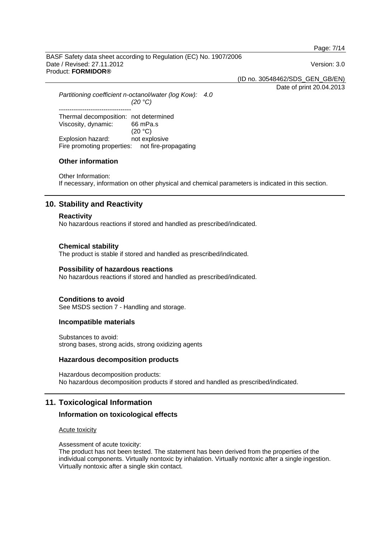Page: 7/14

BASF Safety data sheet according to Regulation (EC) No. 1907/2006 Date / Revised: 27.11.2012 Version: 3.0 Product: **FORMIDOR®** 

(ID no. 30548462/SDS\_GEN\_GB/EN)

Date of print 20.04.2013

*Partitioning coefficient n-octanol/water (log Kow): 4.0 (20 °C)*  ---------------------------------- Thermal decomposition: not determined Viscosity, dynamic: 66 mPa.s  $(20 °C)$ Explosion hazard: not explosive Fire promoting properties: not fire-propagating

### **Other information**

Other Information: If necessary, information on other physical and chemical parameters is indicated in this section.

### **10. Stability and Reactivity**

#### **Reactivity**

No hazardous reactions if stored and handled as prescribed/indicated.

#### **Chemical stability**

The product is stable if stored and handled as prescribed/indicated.

#### **Possibility of hazardous reactions**

No hazardous reactions if stored and handled as prescribed/indicated.

#### **Conditions to avoid**

See MSDS section 7 - Handling and storage.

#### **Incompatible materials**

Substances to avoid: strong bases, strong acids, strong oxidizing agents

#### **Hazardous decomposition products**

Hazardous decomposition products: No hazardous decomposition products if stored and handled as prescribed/indicated.

### **11. Toxicological Information**

#### **Information on toxicological effects**

#### Acute toxicity

Assessment of acute toxicity:

The product has not been tested. The statement has been derived from the properties of the individual components. Virtually nontoxic by inhalation. Virtually nontoxic after a single ingestion. Virtually nontoxic after a single skin contact.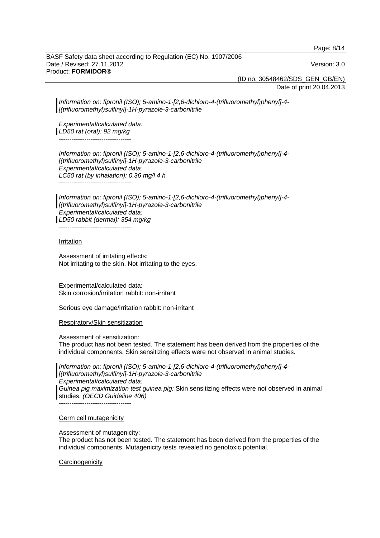Page: 8/14

BASF Safety data sheet according to Regulation (EC) No. 1907/2006 Date / Revised: 27.11.2012 Version: 3.0 Product: **FORMIDOR®** 

(ID no. 30548462/SDS\_GEN\_GB/EN)

Date of print 20.04.2013

*Information on: fipronil (ISO); 5-amino-1-[2,6-dichloro-4-(trifluoromethyl)phenyl]-4- [(trifluoromethyl)sulfinyl]-1H-pyrazole-3-carbonitrile*

*Experimental/calculated data: LD50 rat (oral): 92 mg/kg*  ----------------------------------

*Information on: fipronil (ISO); 5-amino-1-[2,6-dichloro-4-(trifluoromethyl)phenyl]-4- [(trifluoromethyl)sulfinyl]-1H-pyrazole-3-carbonitrile Experimental/calculated data: LC50 rat (by inhalation): 0.36 mg/l 4 h*  ----------------------------------

*Information on: fipronil (ISO); 5-amino-1-[2,6-dichloro-4-(trifluoromethyl)phenyl]-4- [(trifluoromethyl)sulfinyl]-1H-pyrazole-3-carbonitrile Experimental/calculated data: LD50 rabbit (dermal): 354 mg/kg*  ----------------------------------

#### Irritation

Assessment of irritating effects: Not irritating to the skin. Not irritating to the eyes.

Experimental/calculated data: Skin corrosion/irritation rabbit: non-irritant

Serious eye damage/irritation rabbit: non-irritant

Respiratory/Skin sensitization

Assessment of sensitization:

The product has not been tested. The statement has been derived from the properties of the individual components. Skin sensitizing effects were not observed in animal studies.

*Information on: fipronil (ISO); 5-amino-1-[2,6-dichloro-4-(trifluoromethyl)phenyl]-4- [(trifluoromethyl)sulfinyl]-1H-pyrazole-3-carbonitrile Experimental/calculated data: Guinea pig maximization test guinea pig:* Skin sensitizing effects were not observed in animal studies. *(OECD Guideline 406)*

----------------------------------

#### Germ cell mutagenicity

#### Assessment of mutagenicity:

The product has not been tested. The statement has been derived from the properties of the individual components. Mutagenicity tests revealed no genotoxic potential.

#### **Carcinogenicity**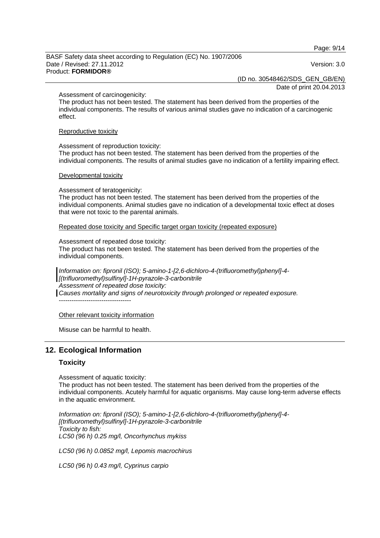Page: 9/14

BASF Safety data sheet according to Regulation (EC) No. 1907/2006 Date / Revised: 27.11.2012 Version: 3.0 Product: **FORMIDOR®** 

(ID no. 30548462/SDS\_GEN\_GB/EN)

Date of print 20.04.2013

#### Assessment of carcinogenicity:

The product has not been tested. The statement has been derived from the properties of the individual components. The results of various animal studies gave no indication of a carcinogenic effect.

#### Reproductive toxicity

Assessment of reproduction toxicity:

The product has not been tested. The statement has been derived from the properties of the individual components. The results of animal studies gave no indication of a fertility impairing effect.

#### Developmental toxicity

Assessment of teratogenicity:

The product has not been tested. The statement has been derived from the properties of the individual components. Animal studies gave no indication of a developmental toxic effect at doses that were not toxic to the parental animals.

Repeated dose toxicity and Specific target organ toxicity (repeated exposure)

#### Assessment of repeated dose toxicity:

The product has not been tested. The statement has been derived from the properties of the individual components.

*Information on: fipronil (ISO); 5-amino-1-[2,6-dichloro-4-(trifluoromethyl)phenyl]-4- [(trifluoromethyl)sulfinyl]-1H-pyrazole-3-carbonitrile Assessment of repeated dose toxicity: Causes mortality and signs of neurotoxicity through prolonged or repeated exposure.*  ----------------------------------

Other relevant toxicity information

Misuse can be harmful to health.

### **12. Ecological Information**

### **Toxicity**

Assessment of aquatic toxicity:

The product has not been tested. The statement has been derived from the properties of the individual components. Acutely harmful for aquatic organisms. May cause long-term adverse effects in the aquatic environment.

*Information on: fipronil (ISO); 5-amino-1-[2,6-dichloro-4-(trifluoromethyl)phenyl]-4- [(trifluoromethyl)sulfinyl]-1H-pyrazole-3-carbonitrile Toxicity to fish: LC50 (96 h) 0.25 mg/l, Oncorhynchus mykiss* 

*LC50 (96 h) 0.0852 mg/l, Lepomis macrochirus* 

*LC50 (96 h) 0.43 mg/l, Cyprinus carpio*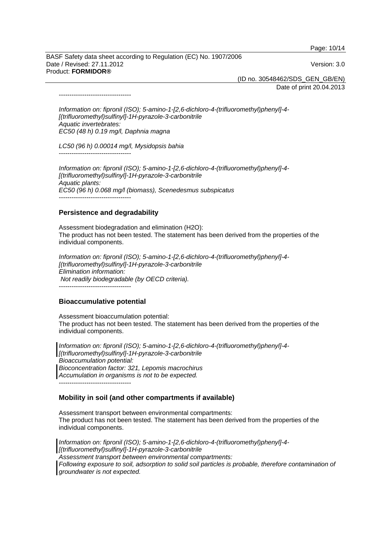Page: 10/14

BASF Safety data sheet according to Regulation (EC) No. 1907/2006 Date / Revised: 27.11.2012 Version: 3.0 Product: **FORMIDOR®** 

(ID no. 30548462/SDS\_GEN\_GB/EN)

Date of print 20.04.2013

*Information on: fipronil (ISO); 5-amino-1-[2,6-dichloro-4-(trifluoromethyl)phenyl]-4- [(trifluoromethyl)sulfinyl]-1H-pyrazole-3-carbonitrile Aquatic invertebrates: EC50 (48 h) 0.19 mg/l, Daphnia magna* 

*LC50 (96 h) 0.00014 mg/l, Mysidopsis bahia* 

----------------------------------

----------------------------------

*Information on: fipronil (ISO); 5-amino-1-[2,6-dichloro-4-(trifluoromethyl)phenyl]-4- [(trifluoromethyl)sulfinyl]-1H-pyrazole-3-carbonitrile Aquatic plants: EC50 (96 h) 0.068 mg/l (biomass), Scenedesmus subspicatus*  ----------------------------------

### **Persistence and degradability**

Assessment biodegradation and elimination (H2O): The product has not been tested. The statement has been derived from the properties of the individual components.

*Information on: fipronil (ISO); 5-amino-1-[2,6-dichloro-4-(trifluoromethyl)phenyl]-4- [(trifluoromethyl)sulfinyl]-1H-pyrazole-3-carbonitrile Elimination information: Not readily biodegradable (by OECD criteria).*  ----------------------------------

#### **Bioaccumulative potential**

Assessment bioaccumulation potential: The product has not been tested. The statement has been derived from the properties of the individual components.

*Information on: fipronil (ISO); 5-amino-1-[2,6-dichloro-4-(trifluoromethyl)phenyl]-4- [(trifluoromethyl)sulfinyl]-1H-pyrazole-3-carbonitrile Bioaccumulation potential: Bioconcentration factor: 321, Lepomis macrochirus Accumulation in organisms is not to be expected.*  ----------------------------------

#### **Mobility in soil (and other compartments if available)**

Assessment transport between environmental compartments: The product has not been tested. The statement has been derived from the properties of the individual components.

*Information on: fipronil (ISO); 5-amino-1-[2,6-dichloro-4-(trifluoromethyl)phenyl]-4- [(trifluoromethyl)sulfinyl]-1H-pyrazole-3-carbonitrile Assessment transport between environmental compartments: Following exposure to soil, adsorption to solid soil particles is probable, therefore contamination of groundwater is not expected.*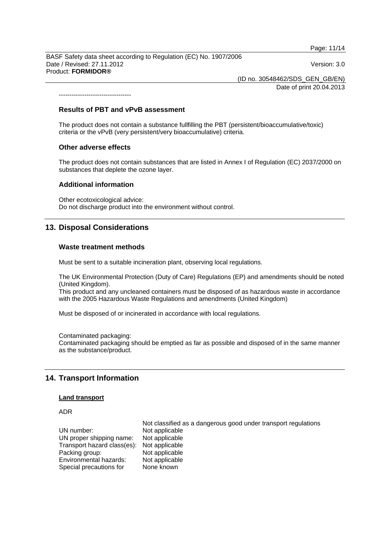Page: 11/14

BASF Safety data sheet according to Regulation (EC) No. 1907/2006 Date / Revised: 27.11.2012 Version: 3.0 Product: **FORMIDOR®** 

(ID no. 30548462/SDS\_GEN\_GB/EN) Date of print 20.04.2013

**Results of PBT and vPvB assessment** 

The product does not contain a substance fullfilling the PBT (persistent/bioaccumulative/toxic) criteria or the vPvB (very persistent/very bioaccumulative) criteria.

#### **Other adverse effects**

----------------------------------

The product does not contain substances that are listed in Annex I of Regulation (EC) 2037/2000 on substances that deplete the ozone layer.

#### **Additional information**

Other ecotoxicological advice: Do not discharge product into the environment without control.

#### **13. Disposal Considerations**

#### **Waste treatment methods**

Must be sent to a suitable incineration plant, observing local regulations.

The UK Environmental Protection (Duty of Care) Regulations (EP) and amendments should be noted (United Kingdom).

This product and any uncleaned containers must be disposed of as hazardous waste in accordance with the 2005 Hazardous Waste Regulations and amendments (United Kingdom)

Must be disposed of or incinerated in accordance with local regulations.

Contaminated packaging: Contaminated packaging should be emptied as far as possible and disposed of in the same manner as the substance/product.

### **14. Transport Information**

#### **Land transport**

#### ADR

 Not classified as a dangerous good under transport regulations UN number: Not applicable UN proper shipping name: Not applicable<br>Transport hazard class(es): Not applicable Transport hazard class(es): Packing group: Not applicable Environmental hazards: Not applicable<br>Special precautions for None known Special precautions for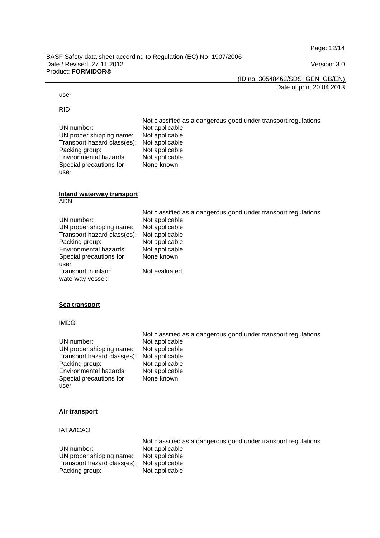Page: 12/14

BASF Safety data sheet according to Regulation (EC) No. 1907/2006 Date / Revised: 27.11.2012 Version: 3.0 Product: **FORMIDOR®** 

(ID no. 30548462/SDS\_GEN\_GB/EN)

Date of print 20.04.2013

#### user

RID

user

 Not classified as a dangerous good under transport regulations UN number: Not applicable<br>UN proper shipping name: Not applicable UN proper shipping name: Not applicable<br>Transport hazard class(es): Not applicable Transport hazard class(es): Packing group: Not applicable<br>
Environmental hazards: Not applicable Environmental hazards: Special precautions for None known

#### **Inland waterway transport** ADN

| UN number:<br>UN proper shipping name:<br>Transport hazard class(es):<br>Packing group:<br>Environmental hazards:<br>Special precautions for | Not classified as a dangerous good under transport regulations<br>Not applicable<br>Not applicable<br>Not applicable<br>Not applicable<br>Not applicable<br>None known |
|----------------------------------------------------------------------------------------------------------------------------------------------|------------------------------------------------------------------------------------------------------------------------------------------------------------------------|
| user                                                                                                                                         |                                                                                                                                                                        |
| Transport in inland<br>waterway vessel:                                                                                                      | Not evaluated                                                                                                                                                          |

### **Sea transport**

### IMDG

|                             | Not classified as a dangerous good under transport regulations |
|-----------------------------|----------------------------------------------------------------|
| UN number:                  | Not applicable                                                 |
| UN proper shipping name:    | Not applicable                                                 |
| Transport hazard class(es): | Not applicable                                                 |
| Packing group:              | Not applicable                                                 |
| Environmental hazards:      | Not applicable                                                 |
| Special precautions for     | None known                                                     |
| user                        |                                                                |

### **Air transport**

IATA/ICAO

|                                            | Not classified as a dangerous good under transport regulations |
|--------------------------------------------|----------------------------------------------------------------|
| UN number:                                 | Not applicable                                                 |
| UN proper shipping name:                   | Not applicable                                                 |
| Transport hazard class(es): Not applicable |                                                                |
| Packing group:                             | Not applicable                                                 |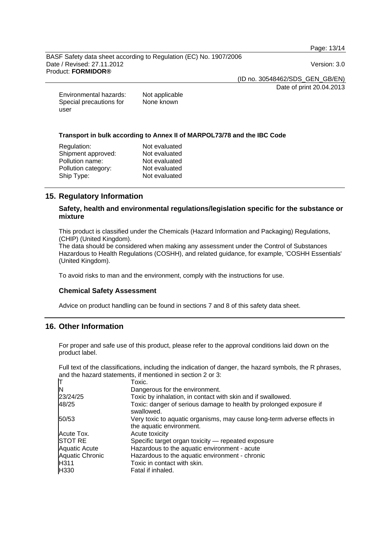Page: 13/14

BASF Safety data sheet according to Regulation (EC) No. 1907/2006 Date / Revised: 27.11.2012 Version: 3.0 Product: **FORMIDOR®** 

(ID no. 30548462/SDS\_GEN\_GB/EN)

Date of print 20.04.2013

| Environmental hazards:  | Not applicable |
|-------------------------|----------------|
| Special precautions for | None known     |
| user                    |                |

#### **Transport in bulk according to Annex II of MARPOL73/78 and the IBC Code**

| Not evaluated |
|---------------|
| Not evaluated |
| Not evaluated |
| Not evaluated |
| Not evaluated |
|               |

### **15. Regulatory Information**

### **Safety, health and environmental regulations/legislation specific for the substance or mixture**

This product is classified under the Chemicals (Hazard Information and Packaging) Regulations, (CHIP) (United Kingdom).

The data should be considered when making any assessment under the Control of Substances Hazardous to Health Regulations (COSHH), and related guidance, for example, 'COSHH Essentials' (United Kingdom).

To avoid risks to man and the environment, comply with the instructions for use.

### **Chemical Safety Assessment**

Advice on product handling can be found in sections 7 and 8 of this safety data sheet.

### **16. Other Information**

For proper and safe use of this product, please refer to the approval conditions laid down on the product label.

Full text of the classifications, including the indication of danger, the hazard symbols, the R phrases, and the hazard statements, if mentioned in section 2 or 3:

|                        | Toxic.                                                                                              |
|------------------------|-----------------------------------------------------------------------------------------------------|
| N                      | Dangerous for the environment.                                                                      |
| 23/24/25               | Toxic by inhalation, in contact with skin and if swallowed.                                         |
| 48/25                  | Toxic: danger of serious damage to health by prolonged exposure if<br>swallowed.                    |
| 50/53                  | Very toxic to aquatic organisms, may cause long-term adverse effects in<br>the aquatic environment. |
| Acute Tox.             | Acute toxicity                                                                                      |
| STOT RE                | Specific target organ toxicity — repeated exposure                                                  |
| Aquatic Acute          | Hazardous to the aquatic environment - acute                                                        |
| <b>Aquatic Chronic</b> | Hazardous to the aquatic environment - chronic                                                      |
| H311                   | Toxic in contact with skin.                                                                         |
| H330                   | Fatal if inhaled.                                                                                   |
|                        |                                                                                                     |